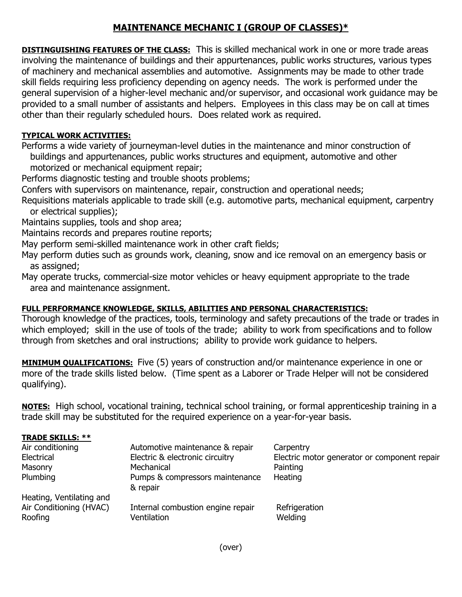## **MAINTENANCE MECHANIC I (GROUP OF CLASSES)\***

**DISTINGUISHING FEATURES OF THE CLASS:** This is skilled mechanical work in one or more trade areas involving the maintenance of buildings and their appurtenances, public works structures, various types of machinery and mechanical assemblies and automotive. Assignments may be made to other trade skill fields requiring less proficiency depending on agency needs. The work is performed under the general supervision of a higher-level mechanic and/or supervisor, and occasional work guidance may be provided to a small number of assistants and helpers. Employees in this class may be on call at times other than their regularly scheduled hours. Does related work as required.

## **TYPICAL WORK ACTIVITIES:**

Performs a wide variety of journeyman-level duties in the maintenance and minor construction of buildings and appurtenances, public works structures and equipment, automotive and other motorized or mechanical equipment repair;

Performs diagnostic testing and trouble shoots problems;

Confers with supervisors on maintenance, repair, construction and operational needs;

Requisitions materials applicable to trade skill (e.g. automotive parts, mechanical equipment, carpentry or electrical supplies);

Maintains supplies, tools and shop area;

Maintains records and prepares routine reports;

May perform semi-skilled maintenance work in other craft fields;

May perform duties such as grounds work, cleaning, snow and ice removal on an emergency basis or as assigned;

May operate trucks, commercial-size motor vehicles or heavy equipment appropriate to the trade area and maintenance assignment.

## **FULL PERFORMANCE KNOWLEDGE, SKILLS, ABILITIES AND PERSONAL CHARACTERISTICS:**

Thorough knowledge of the practices, tools, terminology and safety precautions of the trade or trades in which employed; skill in the use of tools of the trade; ability to work from specifications and to follow through from sketches and oral instructions; ability to provide work guidance to helpers.

**MINIMUM QUALIFICATIONS:** Five (5) years of construction and/or maintenance experience in one or more of the trade skills listed below. (Time spent as a Laborer or Trade Helper will not be considered qualifying).

**NOTES:** High school, vocational training, technical school training, or formal apprenticeship training in a trade skill may be substituted for the required experience on a year-for-year basis.

| <b>TRADE SKILLS: **</b>  |                                   |                                              |
|--------------------------|-----------------------------------|----------------------------------------------|
| Air conditioning         | Automotive maintenance & repair   | Carpentry                                    |
| Electrical               | Electric & electronic circuitry   | Electric motor generator or component repair |
| Masonry                  | Mechanical                        | Painting                                     |
| Plumbing                 | Pumps & compressors maintenance   | Heating                                      |
|                          | & repair                          |                                              |
| Heating, Ventilating and |                                   |                                              |
| Air Conditioning (HVAC)  | Internal combustion engine repair | Refrigeration                                |
| Roofing                  | Ventilation                       | Welding                                      |
|                          |                                   |                                              |